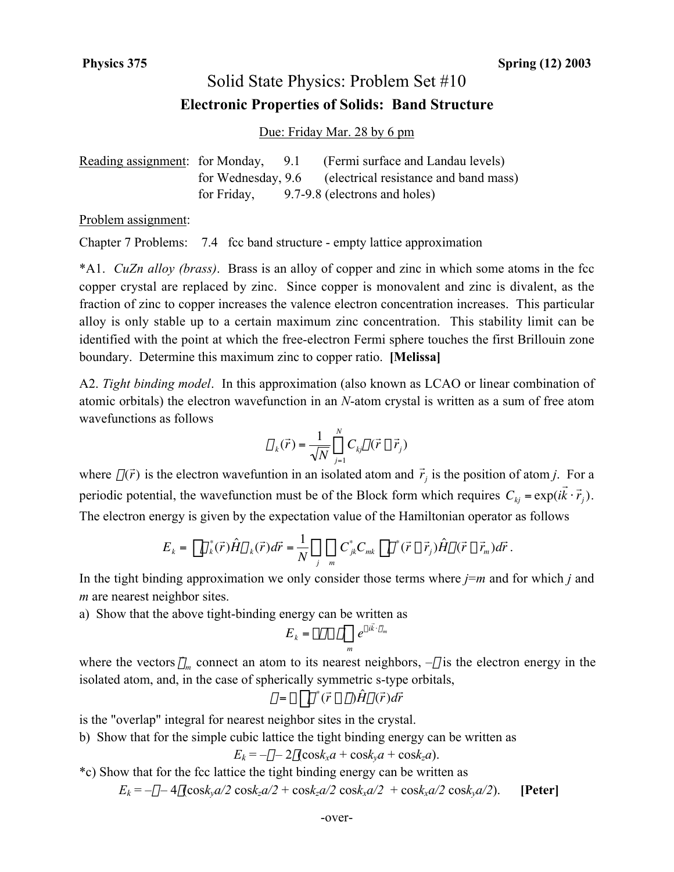## Solid State Physics: Problem Set #10 **Electronic Properties of Solids: Band Structure**

Due: Friday Mar. 28 by 6 pm

|  | Reading assignment: for Monday, 9.1 (Fermi surface and Landau levels) |
|--|-----------------------------------------------------------------------|
|  | for Wednesday, 9.6 (electrical resistance and band mass)              |
|  | for Friday, 9.7-9.8 (electrons and holes)                             |

Problem assignment:

Chapter 7 Problems: 7.4 fcc band structure - empty lattice approximation

\*A1. *CuZn alloy (brass)*. Brass is an alloy of copper and zinc in which some atoms in the fcc copper crystal are replaced by zinc. Since copper is monovalent and zinc is divalent, as the fraction of zinc to copper increases the valence electron concentration increases. This particular alloy is only stable up to a certain maximum zinc concentration. This stability limit can be identified with the point at which the free-electron Fermi sphere touches the first Brillouin zone boundary. Determine this maximum zinc to copper ratio. **[Melissa]**

A2. *Tight binding model*. In this approximation (also known as LCAO or linear combination of atomic orbitals) the electron wavefunction in an *N*-atom crystal is written as a sum of free atom wavefunctions as follows

$$
\psi_k(\vec{r}) = \frac{1}{\sqrt{N}} \sum_{j=1}^N C_{kj} \varphi(\vec{r} - \vec{r}_j)
$$

The electron energy is given by the expectation value of the Hamiltonian operator as follows where  $\varphi(\vec{r})$  is the electron wavefuntion in an isolated atom and  $\vec{r}_j$  is the position of atom *j*. For a periodic potential, the wavefunction must be of the Block form which requires  $C_{kj} = \exp(i$  $\overrightarrow{r}$  $(\vec{k} \cdot \vec{r}_j)$ .

$$
E_{k} = \int \psi_{k}^{*}(\vec{r}) \hat{H} \psi_{k}(\vec{r}) d\vec{r} = \frac{1}{N} \sum_{j} \sum_{m} C_{jk}^{*} C_{mk} \int \varphi^{*}(\vec{r} - \vec{r}_{j}) \hat{H} \varphi(\vec{r} - \vec{r}_{m}) d\vec{r}.
$$

In the tight binding approximation we only consider those terms where *j*=*m* and for which *j* and *m* are nearest neighbor sites.

a) Show that the above tight-binding energy can be written as

$$
E_k = -\varepsilon - \gamma \sum_m e^{-i\vec{k} \cdot \vec{p}_m}
$$

where the vectors  $\vec{\rho}_m$  connect an atom to its nearest neighbors,  $-\varepsilon$  is the electron energy in the isolated atom, and, in the case of spherically symmetric s-type orbitals,

$$
\gamma = -\int \varphi^* (\vec{r} - \vec{\rho}) \hat{H} \varphi(\vec{r}) d\vec{r}
$$

 $\vee$ e is the "overlap" integral for nearest neighbor sites in the crystal.

b) Show that for the simple cubic lattice the tight binding energy can be written as

$$
E_k = -\varepsilon - 2\gamma(\cos k_x a + \cos k_y a + \cos k_z a).
$$

\*c) Show that for the fcc lattice the tight binding energy can be written as

 $E_k = -\varepsilon - 4\gamma(\cos k_y a/2 \cos k_z a/2 + \cos k_z a/2 \cos k_x a/2 + \cos k_x a/2 \cos k_y a/2)$ . **[Peter]**